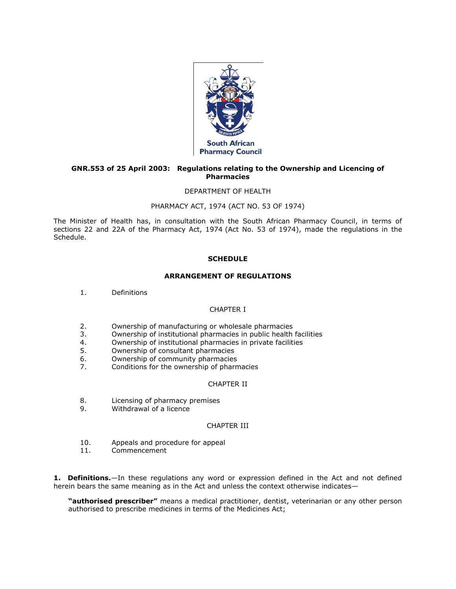

### **GNR.553 of 25 April 2003: Regulations relating to the Ownership and Licencing of Pharmacies**

### DEPARTMENT OF HEALTH

### PHARMACY ACT, 1974 (ACT [NO. 53 OF 1974\)](http://www.mylexisnexis.co.za/nxt/gateway.dll/jilc/kilc/xjsg/zmsg/0msg#0)

The Minister of Health has, in consultation with the South African Pharmacy Council, in terms of [sections 22](http://www.mylexisnexis.co.za/nxt/gateway.dll/jilc/kilc/xjsg/zmsg/0msg/m24h#0) and [22A](http://www.mylexisnexis.co.za/nxt/gateway.dll/jilc/kilc/xjsg/zmsg/0msg/o24h#0) of the Pharmacy Act, 1974 (Act [No. 53 of 1974\)](http://www.mylexisnexis.co.za/nxt/gateway.dll/jilc/kilc/xjsg/zmsg/0msg#0), made the regulations in [the](http://www.mylexisnexis.co.za/nxt/gateway.dll/jilc/kilc/xjsg/zmsg/cnsg/6ok2a/4wk2a?f=templates$fn=document-frame.htm$3.0$q=$x=$nc=1023#3wn)  [Schedule.](http://www.mylexisnexis.co.za/nxt/gateway.dll/jilc/kilc/xjsg/zmsg/cnsg/6ok2a/4wk2a?f=templates$fn=document-frame.htm$3.0$q=$x=$nc=1023#3wn)

# **SCHEDULE**

#### **ARRANGEMENT OF REGULATIONS**

[1.](http://www.mylexisnexis.co.za/nxt/gateway.dll/jilc/kilc/xjsg/zmsg/cnsg/6ok2a/4wk2a/5wk2a#3wm) Definitions

#### CHAPTER I

- [2.](http://www.mylexisnexis.co.za/nxt/gateway.dll/jilc/kilc/xjsg/zmsg/cnsg/6ok2a/4wk2a/6wk2a#3wy) Ownership of manufacturing or wholesale pharmacies
- [3.](http://www.mylexisnexis.co.za/nxt/gateway.dll/jilc/kilc/xjsg/zmsg/cnsg/6ok2a/4wk2a/7wk2a#3wz) Ownership of institutional pharmacies in public health facilities
- [4.](http://www.mylexisnexis.co.za/nxt/gateway.dll/jilc/kilc/xjsg/zmsg/cnsg/6ok2a/4wk2a/8wk2a#3x2) Ownership of institutional pharmacies in private facilities
- [5.](http://www.mylexisnexis.co.za/nxt/gateway.dll/jilc/kilc/xjsg/zmsg/cnsg/6ok2a/4wk2a/9wk2a#3x7) Ownership of consultant pharmacies
- [6.](http://www.mylexisnexis.co.za/nxt/gateway.dll/jilc/kilc/xjsg/zmsg/cnsg/6ok2a/4wk2a/axk2a#3x8) Ownership of community pharmacies
- [7.](http://www.mylexisnexis.co.za/nxt/gateway.dll/jilc/kilc/xjsg/zmsg/cnsg/6ok2a/4wk2a/bxk2a#3xd) Conditions for the ownership of pharmacies

# CHAPTER II

- [8.](http://www.mylexisnexis.co.za/nxt/gateway.dll/jilc/kilc/xjsg/zmsg/cnsg/6ok2a/4wk2a/cxk2a#3xr) Licensing of pharmacy premises
- [9.](http://www.mylexisnexis.co.za/nxt/gateway.dll/jilc/kilc/xjsg/zmsg/cnsg/6ok2a/4wk2a/dxk2a#3y2) Withdrawal of a licence

### CHAPTER III

- [10.](http://www.mylexisnexis.co.za/nxt/gateway.dll/jilc/kilc/xjsg/zmsg/cnsg/6ok2a/4wk2a/exk2a#3yc) Appeals and procedure for appeal
- [11.](http://www.mylexisnexis.co.za/nxt/gateway.dll/jilc/kilc/xjsg/zmsg/cnsg/6ok2a/4wk2a/fxk2a#3yp) Commencement

**1. Definitions.**—In these regulations any word or expression defined in the Act and not defined herein bears the same meaning as in the Act and unless the context otherwise indicates—

**"authorised prescriber"** means a medical practitioner, dentist, veterinarian or any other person authorised to prescribe medicines in terms of the Medicines Act;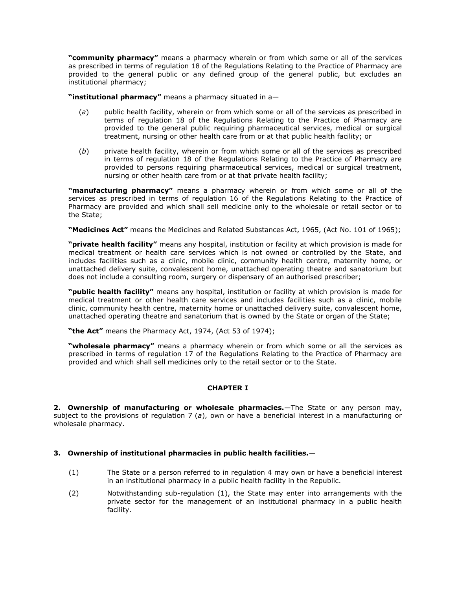**"community pharmacy"** means a pharmacy wherein or from which some or all of the services as prescribed in terms of regulation 18 of the Regulations Relating to the Practice of Pharmacy are provided to the general public or any defined group of the general public, but excludes an institutional pharmacy;

**"institutional pharmacy"** means a pharmacy situated in a—

- (*a*) public health facility, wherein or from which some or all of the services as prescribed in terms of regulation 18 of the Regulations Relating to the Practice of Pharmacy are provided to the general public requiring pharmaceutical services, medical or surgical treatment, nursing or other health care from or at that public health facility; or
- (*b*) private health facility, wherein or from which some or all of the services as prescribed in terms of regulation 18 of the Regulations Relating to the Practice of Pharmacy are provided to persons requiring pharmaceutical services, medical or surgical treatment, nursing or other health care from or at that private health facility;

**"manufacturing pharmacy"** means a pharmacy wherein or from which some or all of the services as prescribed in terms of regulation 16 of the Regulations Relating to the Practice of Pharmacy are provided and which shall sell medicine only to the wholesale or retail sector or to the State;

**"Medicines Act"** means the Medicines and Related Substances Act, 1965, (Act [No. 101 of 1965\)](http://www.mylexisnexis.co.za/nxt/gateway.dll/jilc/kilc/ezrg/p5rg/q5rg#0);

**"private health facility"** means any hospital, institution or facility at which provision is made for medical treatment or health care services which is not owned or controlled by the State, and includes facilities such as a clinic, mobile clinic, community health centre, maternity home, or unattached delivery suite, convalescent home, unattached operating theatre and sanatorium but does not include a consulting room, surgery or dispensary of an authorised prescriber;

**"public health facility"** means any hospital, institution or facility at which provision is made for medical treatment or other health care services and includes facilities such as a clinic, mobile clinic, community health centre, maternity home or unattached delivery suite, convalescent home, unattached operating theatre and sanatorium that is owned by the State or organ of the State;

**"the Act"** means the Pharmacy Act, 1974, (Act [53 of 1974\)](http://www.mylexisnexis.co.za/nxt/gateway.dll/jilc/kilc/xjsg/zmsg/0msg#0);

**"wholesale pharmacy"** means a pharmacy wherein or from which some or all the services as prescribed in terms of regulation 17 of the Regulations Relating to the Practice of Pharmacy are provided and which shall sell medicines only to the retail sector or to the State.

# **CHAPTER I**

**2. Ownership of manufacturing or wholesale pharmacies.**—The State or any person may, subject to the provisions of regulation 7 (*a*), own or have a beneficial interest in a manufacturing or wholesale pharmacy.

# **3. Ownership of institutional pharmacies in public health facilities.**—

- (1) The State or a person referred to in [regulation 4](http://www.mylexisnexis.co.za/nxt/gateway.dll/jilc/kilc/xjsg/zmsg/cnsg/6ok2a/4wk2a/8wk2a#3x2) may own or have a beneficial interest in an institutional pharmacy in a public health facility in the Republic.
- (2) Notwithstanding [sub-regulation \(1\),](http://www.mylexisnexis.co.za/nxt/gateway.dll/jilc/kilc/xjsg/zmsg/cnsg/6ok2a/4wk2a/7wk2a?f=templates$fn=document-frame.htm$3.0$q=$x=$nc=530#3x0) the State may enter into arrangements with the private sector for the management of an institutional pharmacy in a public health facility.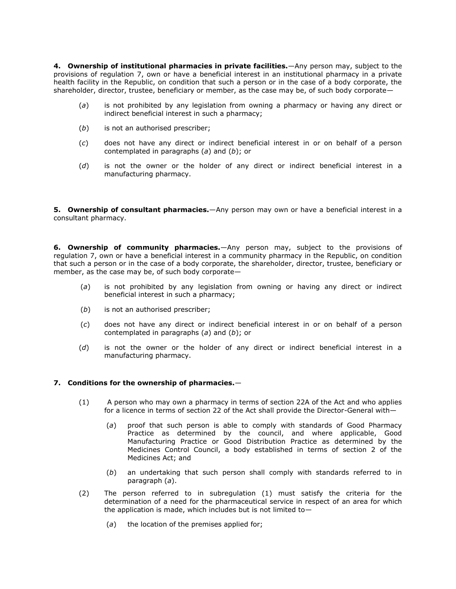**4. Ownership of institutional pharmacies in private facilities.**—Any person may, subject to the provisions of regulation 7, own or have a beneficial interest in an institutional pharmacy in a private health facilit[y in the Repub](http://www.mylexisnexis.co.za/nxt/gateway.dll/jilc/kilc/xjsg/zmsg/cnsg/6ok2a/4wk2a/bxk2a#3xd)lic, on condition that such a person or in the case of a body corporate, the shareholder, director, trustee, beneficiary or member, as the case may be, of such body corporate—

- (*a*) is not prohibited by any legislation from owning a pharmacy or having any direct or indirect beneficial interest in such a pharmacy;
- (*b*) is not an authorised prescriber;
- (*c*) does not have any direct or indirect beneficial interest in or on behalf of a person contemplated in [paragraphs \(](http://www.mylexisnexis.co.za/nxt/gateway.dll/jilc/kilc/xjsg/zmsg/cnsg/6ok2a/4wk2a/8wk2a?f=templates$fn=document-frame.htm$3.0$q=$x=$nc=3250#3x3)*a*) and (*b*[\);](http://www.mylexisnexis.co.za/nxt/gateway.dll/jilc/kilc/xjsg/zmsg/cnsg/6ok2a/4wk2a/8wk2a?f=templates$fn=document-frame.htm$3.0$q=$x=$nc=3250#3x4) or
- (*d*) is not the owner or the holder of any direct or indirect beneficial interest in a manufacturing pharmacy.

**5. Ownership of consultant pharmacies.**—Any person may own or have a beneficial interest in a consultant pharmacy.

**6. Ownership of community pharmacies.**—Any person may, subject to the provisions of [regulation 7,](http://www.mylexisnexis.co.za/nxt/gateway.dll/jilc/kilc/xjsg/zmsg/cnsg/6ok2a/4wk2a/bxk2a#3xd) own or have a beneficial interest in a community pharmacy in the Republic, on condition that such a person or in the case of a body corporate, the shareholder, director, trustee, beneficiary or member, as the case may be, of such body corporate—

- (*a*) is not prohibited by any legislation from owning or having any direct or indirect beneficial interest in such a pharmacy;
- (*b*) is not an authorised prescriber;
- (*c*) does not have any direct or indirect beneficial interest in or on behalf of a person contemplated in [paragraphs \(](http://www.mylexisnexis.co.za/nxt/gateway.dll/jilc/kilc/xjsg/zmsg/cnsg/6ok2a/4wk2a/axk2a?f=templates$fn=document-frame.htm$3.0$q=$x=$nc=5266#3x9)*a*) and (*b*[\);](http://www.mylexisnexis.co.za/nxt/gateway.dll/jilc/kilc/xjsg/zmsg/cnsg/6ok2a/4wk2a/axk2a?f=templates$fn=document-frame.htm$3.0$q=$x=$nc=5266#3xa) or
- (*d*) is not the owner or the holder of any direct or indirect beneficial interest in a manufacturing pharmacy.

# **7. Conditions for the ownership of pharmacies.**—

- (1) A person who may own a pharmacy in terms of section 22A of the Act and who applies for a licence in terms of section 22 of the Act shall provide the Director-General with—
	- (*a*) proof that such person is able to comply with standards of Good Pharmacy Practice as determined by the council, and where applicable, Good Manufacturing Practice or Good Distribution Practice as determined by the Medicines Control Council, a body established in terms of section 2 of the Medicines Act; and
	- (*b*) an undertaking that such person shall comply with standards referred to in [paragraph \(](http://www.mylexisnexis.co.za/nxt/gateway.dll/jilc/kilc/xjsg/zmsg/cnsg/6ok2a/4wk2a/bxk2a?f=templates$fn=document-frame.htm$3.0$q=$x=$nc=327#3xf)*a*).
- (2) The person referred to in [subregulation \(1\)](http://www.mylexisnexis.co.za/nxt/gateway.dll/jilc/kilc/xjsg/zmsg/cnsg/6ok2a/4wk2a/bxk2a?f=templates$fn=document-frame.htm$3.0$q=$x=$nc=327#3xe) must satisfy the criteria for the determination of a need for the pharmaceutical service in respect of an area for which the application is made, which includes but is not limited to—
	- (*a*) the location of the premises applied for;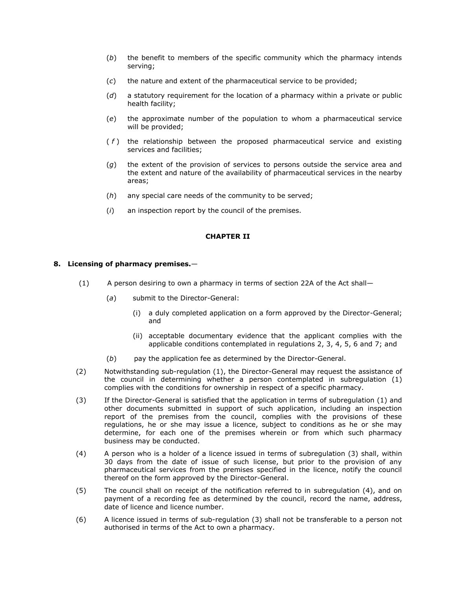- (*b*) the benefit to members of the specific community which the pharmacy intends serving;
- (*c*) the nature and extent of the pharmaceutical service to be provided;
- (*d*) a statutory requirement for the location of a pharmacy within a private or public health facility;
- (*e*) the approximate number of the population to whom a pharmaceutical service will be provided;
- ( *f* ) the relationship between the proposed pharmaceutical service and existing services and facilities;
- (*g*) the extent of the provision of services to persons outside the service area and the extent and nature of the availability of pharmaceutical services in the nearby areas;
- (*h*) any special care needs of the community to be served;
- (*i*) an inspection report by the council of the premises.

### **CHAPTER II**

### **8. Licensing of pharmacy premises.**—

- (1) A person desiring to own a pharmacy in terms of section 22A of the Act shall—
	- (*a*) submit to the Director-General:
		- (i) a duly completed application on a form approved by the Director-General; and
		- (ii) acceptable documentary evidence that the applicant complies with the applicable conditions contemplated in [regulations 2,](http://www.mylexisnexis.co.za/nxt/gateway.dll/jilc/kilc/xjsg/zmsg/cnsg/6ok2a/4wk2a/6wk2a#3wy) [3,](http://www.mylexisnexis.co.za/nxt/gateway.dll/jilc/kilc/xjsg/zmsg/cnsg/6ok2a/4wk2a/7wk2a#3wz) [4,](http://www.mylexisnexis.co.za/nxt/gateway.dll/jilc/kilc/xjsg/zmsg/cnsg/6ok2a/4wk2a/8wk2a#3x2) [5,](http://www.mylexisnexis.co.za/nxt/gateway.dll/jilc/kilc/xjsg/zmsg/cnsg/6ok2a/4wk2a/9wk2a#3x7) [6](http://www.mylexisnexis.co.za/nxt/gateway.dll/jilc/kilc/xjsg/zmsg/cnsg/6ok2a/4wk2a/axk2a#3x8) and [7;](http://www.mylexisnexis.co.za/nxt/gateway.dll/jilc/kilc/xjsg/zmsg/cnsg/6ok2a/4wk2a/bxk2a#3xd) and
	- (*b*) pay the application fee as determined by the Director-General.
- (2) Notwithstanding [sub-regulation \(1\),](http://www.mylexisnexis.co.za/nxt/gateway.dll/jilc/kilc/xjsg/zmsg/cnsg/6ok2a/4wk2a/cxk2a?f=templates$fn=document-frame.htm$3.0$q=$x=$nc=3226#3xs) the Director-General may request the assistance of the council in determining whether a person contemplated in [subregulation \(1\)](http://www.mylexisnexis.co.za/nxt/gateway.dll/jilc/kilc/xjsg/zmsg/cnsg/6ok2a/4wk2a/cxk2a?f=templates$fn=document-frame.htm$3.0$q=$x=$nc=3226#3xs) complies with the conditions for ownership in respect of a specific pharmacy.
- (3) If the Director-General is satisfied that the application in terms of [subregulation \(1\)](http://www.mylexisnexis.co.za/nxt/gateway.dll/jilc/kilc/xjsg/zmsg/cnsg/6ok2a/4wk2a/cxk2a?f=templates$fn=document-frame.htm$3.0$q=$x=$nc=3226#3xs) and other documents submitted in support of such application, including an inspection report of the premises from the council, complies with the provisions of these regulations, he or she may issue a licence, subject to conditions as he or she may determine, for each one of the premises wherein or from which such pharmacy business may be conducted.
- (4) A person who is a holder of a licence issued in terms of [subregulation \(3\)](http://www.mylexisnexis.co.za/nxt/gateway.dll/jilc/kilc/xjsg/zmsg/cnsg/6ok2a/4wk2a/cxk2a?f=templates$fn=document-frame.htm$3.0$q=$x=$nc=3226#3xy) shall, within 30 days from the date of issue of such license, but prior to the provision of any pharmaceutical services from the premises specified in the licence, notify the council thereof on the form approved by the Director-General.
- (5) The council shall on receipt of the notification referred to in [subregulation \(4\),](http://www.mylexisnexis.co.za/nxt/gateway.dll/jilc/kilc/xjsg/zmsg/cnsg/6ok2a/4wk2a/cxk2a?f=templates$fn=document-frame.htm$3.0$q=$x=$nc=3226#3xz) and on payment of a recording fee as determined by the council, record the name, address, date of licence and licence number.
- (6) A licence issued in terms of [sub-regulation \(3\)](http://www.mylexisnexis.co.za/nxt/gateway.dll/jilc/kilc/xjsg/zmsg/cnsg/6ok2a/4wk2a/cxk2a?f=templates$fn=document-frame.htm$3.0$q=$x=$nc=3226#3xy) shall not be transferable to a person not authorised in terms of the Act to own a pharmacy.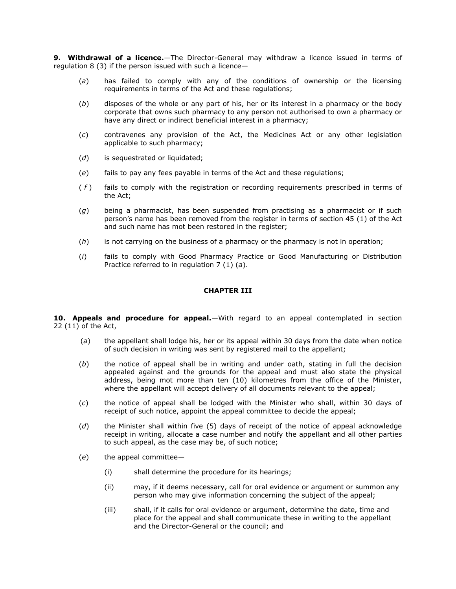**9. Withdrawal of a licence.**—The Director-General may withdraw a licence issued in terms of regulation 8 (3) if the person issued with such a licence—

- (*a*) has failed to comply with any of the conditions of ownership or the licensing requirements in terms of the Act and these regulations;
- (*b*) disposes of the whole or any part of his, her or its interest in a pharmacy or the body corporate that owns such pharmacy to any person not authorised to own a pharmacy or have any direct or indirect beneficial interest in a pharmacy;
- (*c*) contravenes any provision of the Act, the Medicines Act or any other legislation applicable to such pharmacy;
- (*d*) is sequestrated or liquidated;
- (*e*) fails to pay any fees payable in terms of the Act and these regulations;
- ( *f* ) fails to comply with the registration or recording requirements prescribed in terms of the Act;
- (*g*) being a pharmacist, has been suspended from practising as a pharmacist or if such person's name has been removed from the register in terms of section 45 (1) of the Act and such name has mot been restored in the register;
- (*h*) is not carrying on the business of a pharmacy or the pharmacy is not in operation;
- (*i*) fails to comply with Good Pharmacy Practice or Good Manufacturing or Distribution Practice referred to in [regulation 7](http://www.mylexisnexis.co.za/nxt/gateway.dll/jilc/kilc/xjsg/zmsg/cnsg/6ok2a/4wk2a/bxk2a#3xf) (1) (*a*).

### **CHAPTER III**

**10. Appeals and procedure for appeal.**—With regard to an appeal contemplated in section 22 (11) of the Act,

- (*a*) the appellant shall lodge his, her or its appeal within 30 days from the date when notice of such decision in writing was sent by registered mail to the appellant;
- (*b*) the notice of appeal shall be in writing and under oath, stating in full the decision appealed against and the grounds for the appeal and must also state the physical address, being mot more than ten (10) kilometres from the office of the Minister, where the appellant will accept delivery of all documents relevant to the appeal;
- (*c*) the notice of appeal shall be lodged with the Minister who shall, within 30 days of receipt of such notice, appoint the appeal committee to decide the appeal;
- (*d*) the Minister shall within five (5) days of receipt of the notice of appeal acknowledge receipt in writing, allocate a case number and notify the appellant and all other parties to such appeal, as the case may be, of such notice;
- (*e*) the appeal committee—
	- (i) shall determine the procedure for its hearings;
	- (ii) may, if it deems necessary, call for oral evidence or argument or summon any person who may give information concerning the subject of the appeal;
	- (iii) shall, if it calls for oral evidence or argument, determine the date, time and place for the appeal and shall communicate these in writing to the appellant and the Director-General or the council; and